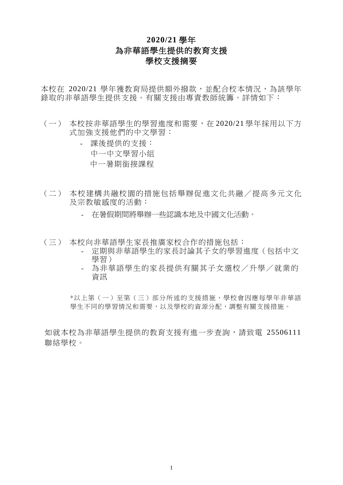## **2020/21** 學年 為非華語學生提供的教育支援 學校支援摘要

本校在 2020/21 學年獲教育局提供額外撥款,並配合校本情況,為該學年 錄取的非華語學生提供支援。有關支援由專責教師統籌。詳情如下:

- (一) 本校按非華語學生的學習進度和需要,在 2020/21 學年採用以下方 式加強支援他們的中文學習:
	- 課後提供的支援: 中一中文學習小組
		- 中一暑期銜接課程
- (二) 本校建構共融校園的措施包括舉辦促進文化共融/提高多元文化 及宗教敏感度的活動:
	- 在暑假期間將舉辦一些認識本地及中國文化活動。
- (三) 本校向非華語學生家長推廣家校合作的措施包括:
	- 定期與非華語學生的家長討論其子女的學習進度(包括中文 學習)
	- 為非華語學生的家長提供有關其子女選校/升學/就業的 資訊

\*以上第(一)至第(三)部分所述的支援措施,學校會因應每學年非華語 學生不同的學習情況和需要,以及學校的資源分配,調整有關支援措施。

如就本校為非華語學生提供的教育支援有進一步查詢,請致電 25506111 聯絡學校。